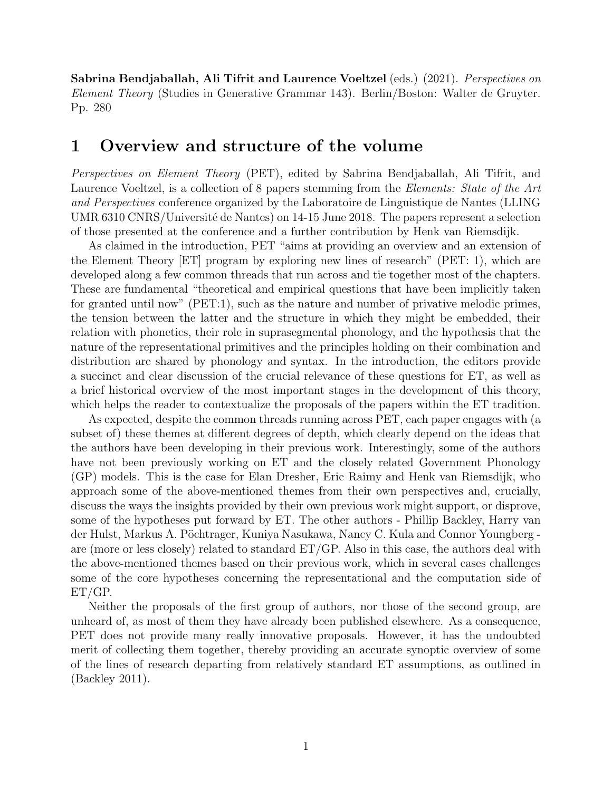Sabrina Bendjaballah, Ali Tifrit and Laurence Voeltzel (eds.) (2021). Perspectives on Element Theory (Studies in Generative Grammar 143). Berlin/Boston: Walter de Gruyter. Pp. 280

# 1 Overview and structure of the volume

Perspectives on Element Theory (PET), edited by Sabrina Bendjaballah, Ali Tifrit, and Laurence Voeltzel, is a collection of 8 papers stemming from the *Elements: State of the Art* and Perspectives conference organized by the Laboratoire de Linguistique de Nantes (LLING UMR 6310 CNRS/Université de Nantes) on 14-15 June 2018. The papers represent a selection of those presented at the conference and a further contribution by Henk van Riemsdijk.

As claimed in the introduction, PET "aims at providing an overview and an extension of the Element Theory [ET] program by exploring new lines of research" (PET: 1), which are developed along a few common threads that run across and tie together most of the chapters. These are fundamental "theoretical and empirical questions that have been implicitly taken for granted until now" (PET:1), such as the nature and number of privative melodic primes, the tension between the latter and the structure in which they might be embedded, their relation with phonetics, their role in suprasegmental phonology, and the hypothesis that the nature of the representational primitives and the principles holding on their combination and distribution are shared by phonology and syntax. In the introduction, the editors provide a succinct and clear discussion of the crucial relevance of these questions for ET, as well as a brief historical overview of the most important stages in the development of this theory, which helps the reader to contextualize the proposals of the papers within the ET tradition.

As expected, despite the common threads running across PET, each paper engages with (a subset of) these themes at different degrees of depth, which clearly depend on the ideas that the authors have been developing in their previous work. Interestingly, some of the authors have not been previously working on ET and the closely related Government Phonology (GP) models. This is the case for Elan Dresher, Eric Raimy and Henk van Riemsdijk, who approach some of the above-mentioned themes from their own perspectives and, crucially, discuss the ways the insights provided by their own previous work might support, or disprove, some of the hypotheses put forward by ET. The other authors - Phillip Backley, Harry van der Hulst, Markus A. Pöchtrager, Kuniya Nasukawa, Nancy C. Kula and Connor Youngberg are (more or less closely) related to standard  $ET/GP$ . Also in this case, the authors deal with the above-mentioned themes based on their previous work, which in several cases challenges some of the core hypotheses concerning the representational and the computation side of ET/GP.

Neither the proposals of the first group of authors, nor those of the second group, are unheard of, as most of them they have already been published elsewhere. As a consequence, PET does not provide many really innovative proposals. However, it has the undoubted merit of collecting them together, thereby providing an accurate synoptic overview of some of the lines of research departing from relatively standard ET assumptions, as outlined in (Backley 2011).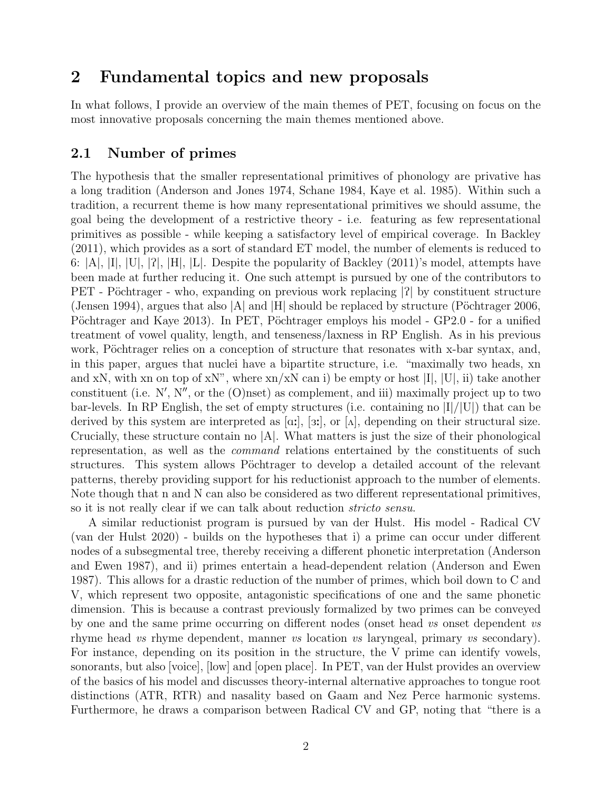# 2 Fundamental topics and new proposals

In what follows, I provide an overview of the main themes of PET, focusing on focus on the most innovative proposals concerning the main themes mentioned above.

### 2.1 Number of primes

The hypothesis that the smaller representational primitives of phonology are privative has a long tradition (Anderson and Jones 1974, Schane 1984, Kaye et al. 1985). Within such a tradition, a recurrent theme is how many representational primitives we should assume, the goal being the development of a restrictive theory - i.e. featuring as few representational primitives as possible - while keeping a satisfactory level of empirical coverage. In Backley (2011), which provides as a sort of standard ET model, the number of elements is reduced to 6:  $|A|$ ,  $|I|$ ,  $|U|$ ,  $|P|$ ,  $|H|$ ,  $|L|$ . Despite the popularity of Backley (2011)'s model, attempts have been made at further reducing it. One such attempt is pursued by one of the contributors to PET - Pöchtrager - who, expanding on previous work replacing  $|2|$  by constituent structure (Jensen 1994), argues that also  $|A|$  and  $|H|$  should be replaced by structure (Pöchtrager 2006, Pöchtrager and Kaye 2013). In PET, Pöchtrager employs his model - GP2.0 - for a unified treatment of vowel quality, length, and tenseness/laxness in RP English. As in his previous work, Pöchtrager relies on a conception of structure that resonates with x-bar syntax, and, in this paper, argues that nuclei have a bipartite structure, i.e. "maximally two heads, xn and xN, with xn on top of xN", where  $x_n/xN$  can i) be empty or host  $|I|, |U|$ , ii) take another constituent (i.e. N', N'', or the (O)nset) as complement, and iii) maximally project up to two bar-levels. In RP English, the set of empty structures (i.e. containing no  $|I|/|U|$ ) that can be derived by this system are interpreted as  $[\alpha; \xi]$ ,  $[\alpha; \xi]$ , or  $[\Lambda]$ , depending on their structural size. Crucially, these structure contain no  $|A|$ . What matters is just the size of their phonological representation, as well as the command relations entertained by the constituents of such structures. This system allows Pöchtrager to develop a detailed account of the relevant patterns, thereby providing support for his reductionist approach to the number of elements. Note though that n and N can also be considered as two different representational primitives, so it is not really clear if we can talk about reduction stricto sensu.

A similar reductionist program is pursued by van der Hulst. His model - Radical CV (van der Hulst 2020) - builds on the hypotheses that i) a prime can occur under different nodes of a subsegmental tree, thereby receiving a different phonetic interpretation (Anderson and Ewen 1987), and ii) primes entertain a head-dependent relation (Anderson and Ewen 1987). This allows for a drastic reduction of the number of primes, which boil down to C and V, which represent two opposite, antagonistic specifications of one and the same phonetic dimension. This is because a contrast previously formalized by two primes can be conveyed by one and the same prime occurring on different nodes (onset head vs onset dependent vs rhyme head vs rhyme dependent, manner vs location vs laryngeal, primary vs secondary). For instance, depending on its position in the structure, the V prime can identify vowels, sonorants, but also [voice], [low] and [open place]. In PET, van der Hulst provides an overview of the basics of his model and discusses theory-internal alternative approaches to tongue root distinctions (ATR, RTR) and nasality based on Gaam and Nez Perce harmonic systems. Furthermore, he draws a comparison between Radical CV and GP, noting that "there is a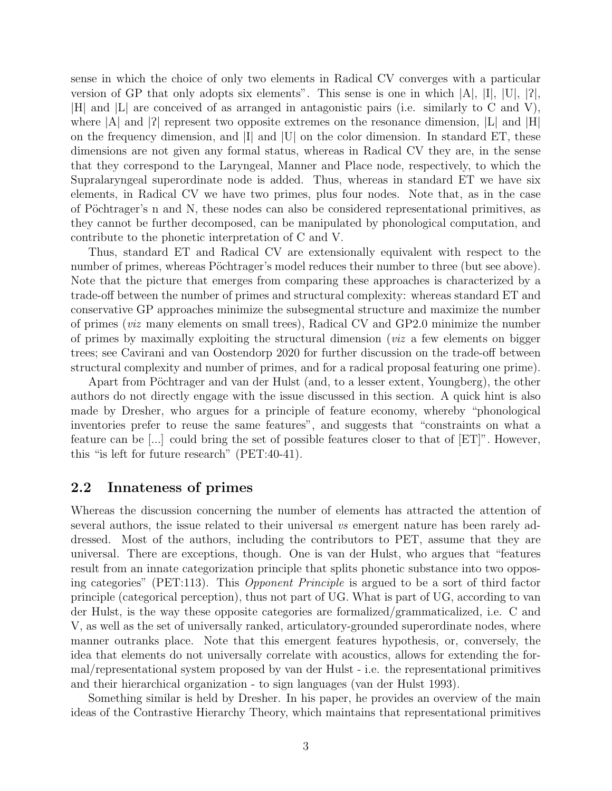sense in which the choice of only two elements in Radical CV converges with a particular version of GP that only adopts six elements". This sense is one in which  $|A|, |I|, |U|, |2|$ , |H| and |L| are conceived of as arranged in antagonistic pairs (i.e. similarly to C and V), where  $|A|$  and  $|P|$  represent two opposite extremes on the resonance dimension,  $|L|$  and  $|H|$ on the frequency dimension, and |I| and |U| on the color dimension. In standard ET, these dimensions are not given any formal status, whereas in Radical CV they are, in the sense that they correspond to the Laryngeal, Manner and Place node, respectively, to which the Supralaryngeal superordinate node is added. Thus, whereas in standard ET we have six elements, in Radical CV we have two primes, plus four nodes. Note that, as in the case of Pöchtrager's n and N, these nodes can also be considered representational primitives, as they cannot be further decomposed, can be manipulated by phonological computation, and contribute to the phonetic interpretation of C and V.

Thus, standard ET and Radical CV are extensionally equivalent with respect to the number of primes, whereas Pöchtrager's model reduces their number to three (but see above). Note that the picture that emerges from comparing these approaches is characterized by a trade-off between the number of primes and structural complexity: whereas standard ET and conservative GP approaches minimize the subsegmental structure and maximize the number of primes (viz many elements on small trees), Radical CV and GP2.0 minimize the number of primes by maximally exploiting the structural dimension (*viz* a few elements on bigger trees; see Cavirani and van Oostendorp 2020 for further discussion on the trade-off between structural complexity and number of primes, and for a radical proposal featuring one prime).

Apart from Pöchtrager and van der Hulst (and, to a lesser extent, Youngberg), the other authors do not directly engage with the issue discussed in this section. A quick hint is also made by Dresher, who argues for a principle of feature economy, whereby "phonological inventories prefer to reuse the same features", and suggests that "constraints on what a feature can be  $[\dots]$  could bring the set of possible features closer to that of  $[ET]$ ". However, this "is left for future research" (PET:40-41).

#### 2.2 Innateness of primes

Whereas the discussion concerning the number of elements has attracted the attention of several authors, the issue related to their universal vs emergent nature has been rarely addressed. Most of the authors, including the contributors to PET, assume that they are universal. There are exceptions, though. One is van der Hulst, who argues that "features result from an innate categorization principle that splits phonetic substance into two opposing categories" (PET:113). This Opponent Principle is argued to be a sort of third factor principle (categorical perception), thus not part of UG. What is part of UG, according to van der Hulst, is the way these opposite categories are formalized/grammaticalized, i.e. C and V, as well as the set of universally ranked, articulatory-grounded superordinate nodes, where manner outranks place. Note that this emergent features hypothesis, or, conversely, the idea that elements do not universally correlate with acoustics, allows for extending the formal/representational system proposed by van der Hulst - i.e. the representational primitives and their hierarchical organization - to sign languages (van der Hulst 1993).

Something similar is held by Dresher. In his paper, he provides an overview of the main ideas of the Contrastive Hierarchy Theory, which maintains that representational primitives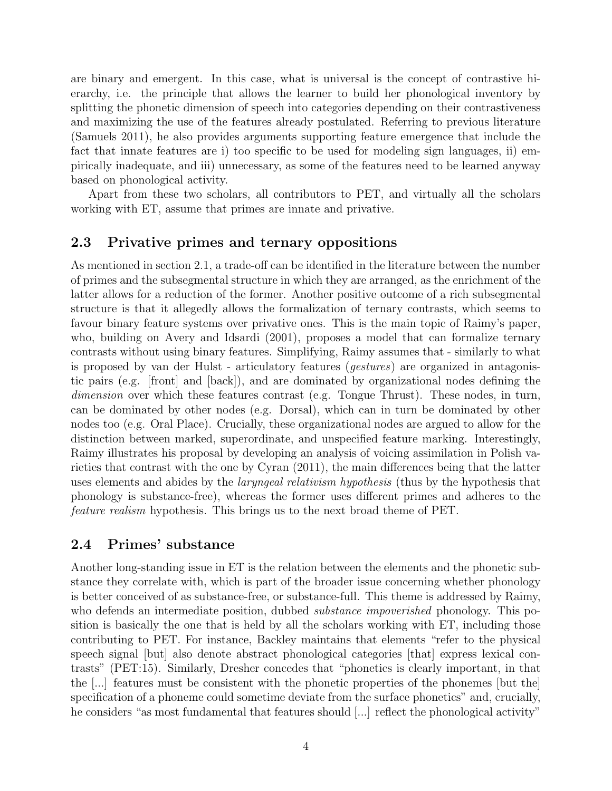are binary and emergent. In this case, what is universal is the concept of contrastive hierarchy, i.e. the principle that allows the learner to build her phonological inventory by splitting the phonetic dimension of speech into categories depending on their contrastiveness and maximizing the use of the features already postulated. Referring to previous literature (Samuels 2011), he also provides arguments supporting feature emergence that include the fact that innate features are i) too specific to be used for modeling sign languages, ii) empirically inadequate, and iii) unnecessary, as some of the features need to be learned anyway based on phonological activity.

Apart from these two scholars, all contributors to PET, and virtually all the scholars working with ET, assume that primes are innate and privative.

### 2.3 Privative primes and ternary oppositions

As mentioned in section 2.1, a trade-off can be identified in the literature between the number of primes and the subsegmental structure in which they are arranged, as the enrichment of the latter allows for a reduction of the former. Another positive outcome of a rich subsegmental structure is that it allegedly allows the formalization of ternary contrasts, which seems to favour binary feature systems over privative ones. This is the main topic of Raimy's paper, who, building on Avery and Idsardi (2001), proposes a model that can formalize ternary contrasts without using binary features. Simplifying, Raimy assumes that - similarly to what is proposed by van der Hulst - articulatory features (gestures) are organized in antagonistic pairs (e.g. [front] and [back]), and are dominated by organizational nodes defining the dimension over which these features contrast (e.g. Tongue Thrust). These nodes, in turn, can be dominated by other nodes (e.g. Dorsal), which can in turn be dominated by other nodes too (e.g. Oral Place). Crucially, these organizational nodes are argued to allow for the distinction between marked, superordinate, and unspecified feature marking. Interestingly, Raimy illustrates his proposal by developing an analysis of voicing assimilation in Polish varieties that contrast with the one by Cyran (2011), the main differences being that the latter uses elements and abides by the *laryngeal relativism hypothesis* (thus by the hypothesis that phonology is substance-free), whereas the former uses different primes and adheres to the feature realism hypothesis. This brings us to the next broad theme of PET.

### 2.4 Primes' substance

Another long-standing issue in ET is the relation between the elements and the phonetic substance they correlate with, which is part of the broader issue concerning whether phonology is better conceived of as substance-free, or substance-full. This theme is addressed by Raimy, who defends an intermediate position, dubbed *substance impoverished* phonology. This position is basically the one that is held by all the scholars working with ET, including those contributing to PET. For instance, Backley maintains that elements "refer to the physical speech signal [but] also denote abstract phonological categories [that] express lexical contrasts" (PET:15). Similarly, Dresher concedes that "phonetics is clearly important, in that the [...] features must be consistent with the phonetic properties of the phonemes [but the] specification of a phoneme could sometime deviate from the surface phonetics" and, crucially, he considers "as most fundamental that features should [...] reflect the phonological activity"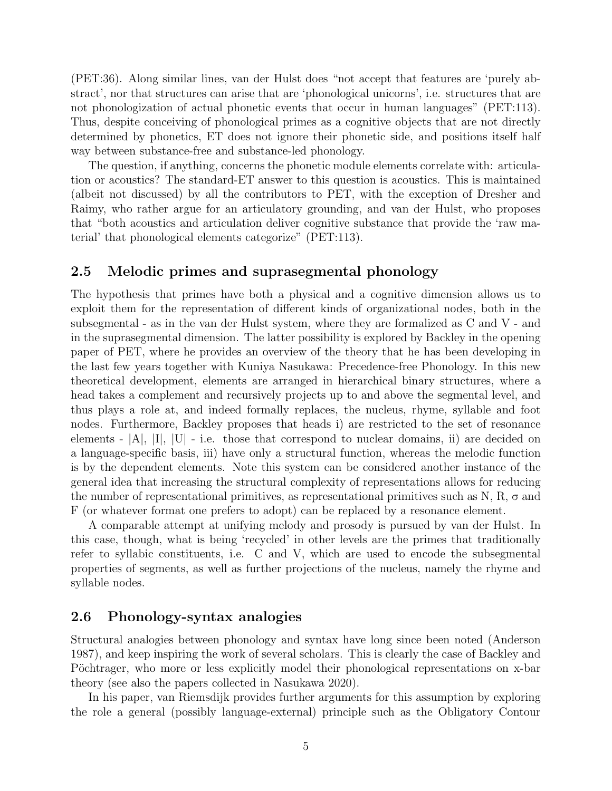(PET:36). Along similar lines, van der Hulst does "not accept that features are 'purely abstract', nor that structures can arise that are 'phonological unicorns', i.e. structures that are not phonologization of actual phonetic events that occur in human languages" (PET:113). Thus, despite conceiving of phonological primes as a cognitive objects that are not directly determined by phonetics, ET does not ignore their phonetic side, and positions itself half way between substance-free and substance-led phonology.

The question, if anything, concerns the phonetic module elements correlate with: articulation or acoustics? The standard-ET answer to this question is acoustics. This is maintained (albeit not discussed) by all the contributors to PET, with the exception of Dresher and Raimy, who rather argue for an articulatory grounding, and van der Hulst, who proposes that "both acoustics and articulation deliver cognitive substance that provide the 'raw material' that phonological elements categorize" (PET:113).

#### 2.5 Melodic primes and suprasegmental phonology

The hypothesis that primes have both a physical and a cognitive dimension allows us to exploit them for the representation of different kinds of organizational nodes, both in the subsegmental - as in the van der Hulst system, where they are formalized as C and V - and in the suprasegmental dimension. The latter possibility is explored by Backley in the opening paper of PET, where he provides an overview of the theory that he has been developing in the last few years together with Kuniya Nasukawa: Precedence-free Phonology. In this new theoretical development, elements are arranged in hierarchical binary structures, where a head takes a complement and recursively projects up to and above the segmental level, and thus plays a role at, and indeed formally replaces, the nucleus, rhyme, syllable and foot nodes. Furthermore, Backley proposes that heads i) are restricted to the set of resonance elements -  $[A], [I], [U]$  - i.e. those that correspond to nuclear domains, ii) are decided on a language-specific basis, iii) have only a structural function, whereas the melodic function is by the dependent elements. Note this system can be considered another instance of the general idea that increasing the structural complexity of representations allows for reducing the number of representational primitives, as representational primitives such as N, R,  $\sigma$  and F (or whatever format one prefers to adopt) can be replaced by a resonance element.

A comparable attempt at unifying melody and prosody is pursued by van der Hulst. In this case, though, what is being 'recycled' in other levels are the primes that traditionally refer to syllabic constituents, i.e. C and V, which are used to encode the subsegmental properties of segments, as well as further projections of the nucleus, namely the rhyme and syllable nodes.

#### 2.6 Phonology-syntax analogies

Structural analogies between phonology and syntax have long since been noted (Anderson 1987), and keep inspiring the work of several scholars. This is clearly the case of Backley and Pöchtrager, who more or less explicitly model their phonological representations on x-bar theory (see also the papers collected in Nasukawa 2020).

In his paper, van Riemsdijk provides further arguments for this assumption by exploring the role a general (possibly language-external) principle such as the Obligatory Contour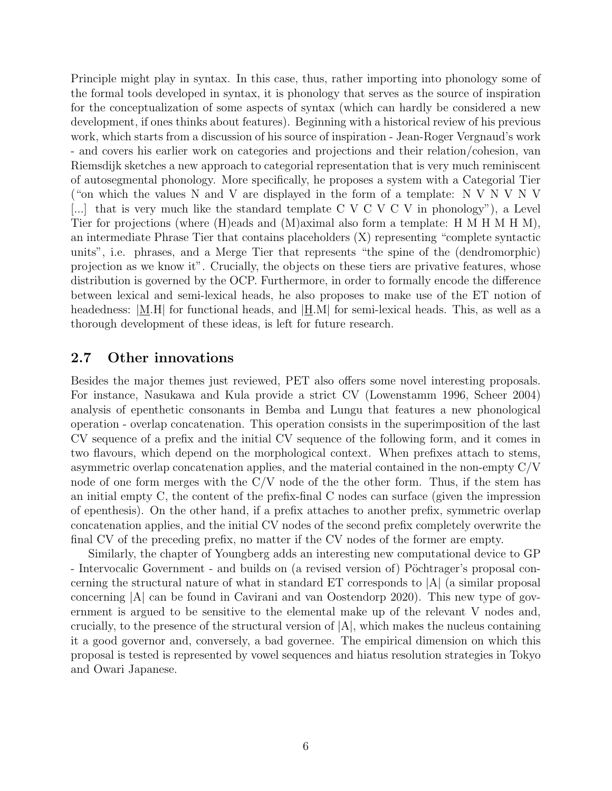Principle might play in syntax. In this case, thus, rather importing into phonology some of the formal tools developed in syntax, it is phonology that serves as the source of inspiration for the conceptualization of some aspects of syntax (which can hardly be considered a new development, if ones thinks about features). Beginning with a historical review of his previous work, which starts from a discussion of his source of inspiration - Jean-Roger Vergnaud's work - and covers his earlier work on categories and projections and their relation/cohesion, van Riemsdijk sketches a new approach to categorial representation that is very much reminiscent of autosegmental phonology. More specifically, he proposes a system with a Categorial Tier ("on which the values N and V are displayed in the form of a template: N V N V N V [...] that is very much like the standard template  $C V C V C V$  in phonology"), a Level Tier for projections (where (H)eads and (M)aximal also form a template: H M H M H M), an intermediate Phrase Tier that contains placeholders (X) representing "complete syntactic units", i.e. phrases, and a Merge Tier that represents "the spine of the (dendromorphic) projection as we know it". Crucially, the objects on these tiers are privative features, whose distribution is governed by the OCP. Furthermore, in order to formally encode the difference between lexical and semi-lexical heads, he also proposes to make use of the ET notion of headedness:  $[M,H]$  for functional heads, and  $[H,M]$  for semi-lexical heads. This, as well as a thorough development of these ideas, is left for future research.

#### 2.7 Other innovations

Besides the major themes just reviewed, PET also offers some novel interesting proposals. For instance, Nasukawa and Kula provide a strict CV (Lowenstamm 1996, Scheer 2004) analysis of epenthetic consonants in Bemba and Lungu that features a new phonological operation - overlap concatenation. This operation consists in the superimposition of the last CV sequence of a prefix and the initial CV sequence of the following form, and it comes in two flavours, which depend on the morphological context. When prefixes attach to stems, asymmetric overlap concatenation applies, and the material contained in the non-empty C/V node of one form merges with the  $C/V$  node of the the other form. Thus, if the stem has an initial empty C, the content of the prefix-final C nodes can surface (given the impression of epenthesis). On the other hand, if a prefix attaches to another prefix, symmetric overlap concatenation applies, and the initial CV nodes of the second prefix completely overwrite the final CV of the preceding prefix, no matter if the CV nodes of the former are empty.

Similarly, the chapter of Youngberg adds an interesting new computational device to GP - Intervocalic Government - and builds on (a revised version of) Pöchtrager's proposal concerning the structural nature of what in standard ET corresponds to |A| (a similar proposal concerning |A| can be found in Cavirani and van Oostendorp 2020). This new type of government is argued to be sensitive to the elemental make up of the relevant V nodes and, crucially, to the presence of the structural version of  $|A|$ , which makes the nucleus containing it a good governor and, conversely, a bad governee. The empirical dimension on which this proposal is tested is represented by vowel sequences and hiatus resolution strategies in Tokyo and Owari Japanese.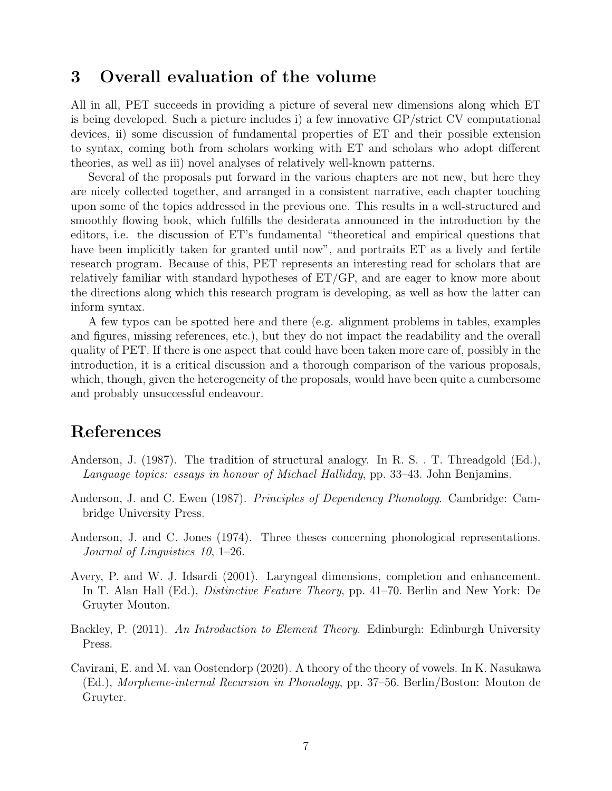## 3 Overall evaluation of the volume

All in all, PET succeeds in providing a picture of several new dimensions along which ET is being developed. Such a picture includes i) a few innovative GP/strict CV computational devices, ii) some discussion of fundamental properties of ET and their possible extension to syntax, coming both from scholars working with ET and scholars who adopt different theories, as well as iii) novel analyses of relatively well-known patterns.

Several of the proposals put forward in the various chapters are not new, but here they are nicely collected together, and arranged in a consistent narrative, each chapter touching upon some of the topics addressed in the previous one. This results in a well-structured and smoothly flowing book, which fulfills the desiderata announced in the introduction by the editors, i.e. the discussion of ET's fundamental "theoretical and empirical questions that have been implicitly taken for granted until now", and portraits ET as a lively and fertile research program. Because of this, PET represents an interesting read for scholars that are relatively familiar with standard hypotheses of ET/GP, and are eager to know more about the directions along which this research program is developing, as well as how the latter can inform syntax.

A few typos can be spotted here and there (e.g. alignment problems in tables, examples and figures, missing references, etc.), but they do not impact the readability and the overall quality of PET. If there is one aspect that could have been taken more care of, possibly in the introduction, it is a critical discussion and a thorough comparison of the various proposals, which, though, given the heterogeneity of the proposals, would have been quite a cumbersome and probably unsuccessful endeavour.

# References

- Anderson, J. (1987). The tradition of structural analogy. In R. S. . T. Threadgold (Ed.), Language topics: essays in honour of Michael Halliday, pp. 33–43. John Benjamins.
- Anderson, J. and C. Ewen (1987). Principles of Dependency Phonology. Cambridge: Cambridge University Press.
- Anderson, J. and C. Jones (1974). Three theses concerning phonological representations. Journal of Linguistics 10, 1–26.
- Avery, P. and W. J. Idsardi (2001). Laryngeal dimensions, completion and enhancement. In T. Alan Hall (Ed.), Distinctive Feature Theory, pp. 41–70. Berlin and New York: De Gruyter Mouton.
- Backley, P. (2011). An Introduction to Element Theory. Edinburgh: Edinburgh University Press.
- Cavirani, E. and M. van Oostendorp (2020). A theory of the theory of vowels. In K. Nasukawa (Ed.), Morpheme-internal Recursion in Phonology, pp. 37–56. Berlin/Boston: Mouton de Gruyter.